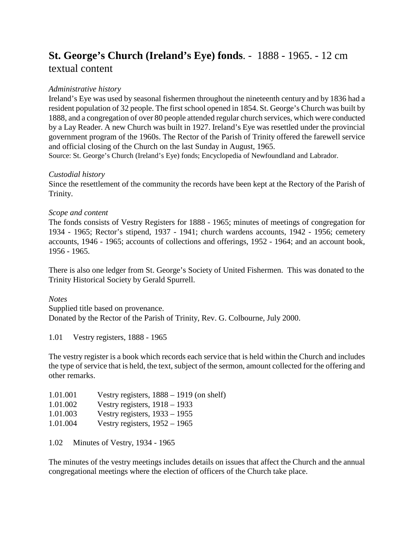# **St. George's Church (Ireland's Eye) fonds**. - 1888 - 1965. - 12 cm textual content

# *Administrative history*

Ireland's Eye was used by seasonal fishermen throughout the nineteenth century and by 1836 had a resident population of 32 people. The first school opened in 1854. St. George's Church was built by 1888, and a congregation of over 80 people attended regular church services, which were conducted by a Lay Reader. A new Church was built in 1927. Ireland's Eye was resettled under the provincial government program of the 1960s. The Rector of the Parish of Trinity offered the farewell service and official closing of the Church on the last Sunday in August, 1965.

Source: St. George's Church (Ireland's Eye) fonds; Encyclopedia of Newfoundland and Labrador.

### *Custodial history*

Since the resettlement of the community the records have been kept at the Rectory of the Parish of Trinity.

# *Scope and content*

The fonds consists of Vestry Registers for 1888 - 1965; minutes of meetings of congregation for 1934 - 1965; Rector's stipend, 1937 - 1941; church wardens accounts, 1942 - 1956; cemetery accounts, 1946 - 1965; accounts of collections and offerings, 1952 - 1964; and an account book, 1956 - 1965.

There is also one ledger from St. George's Society of United Fishermen. This was donated to the Trinity Historical Society by Gerald Spurrell.

### *Notes*

Supplied title based on provenance. Donated by the Rector of the Parish of Trinity, Rev. G. Colbourne, July 2000.

1.01 Vestry registers, 1888 - 1965

The vestry register is a book which records each service that is held within the Church and includes the type of service that is held, the text, subject of the sermon, amount collected for the offering and other remarks.

| 1.01.001 | Vestry registers, $1888 - 1919$ (on shelf) |
|----------|--------------------------------------------|
| 1.01.002 | Vestry registers, $1918 - 1933$            |
| 1.01.003 | Vestry registers, $1933 - 1955$            |
| 1.01.004 | Vestry registers, $1952 - 1965$            |
|          |                                            |

1.02 Minutes of Vestry, 1934 - 1965

The minutes of the vestry meetings includes details on issues that affect the Church and the annual congregational meetings where the election of officers of the Church take place.